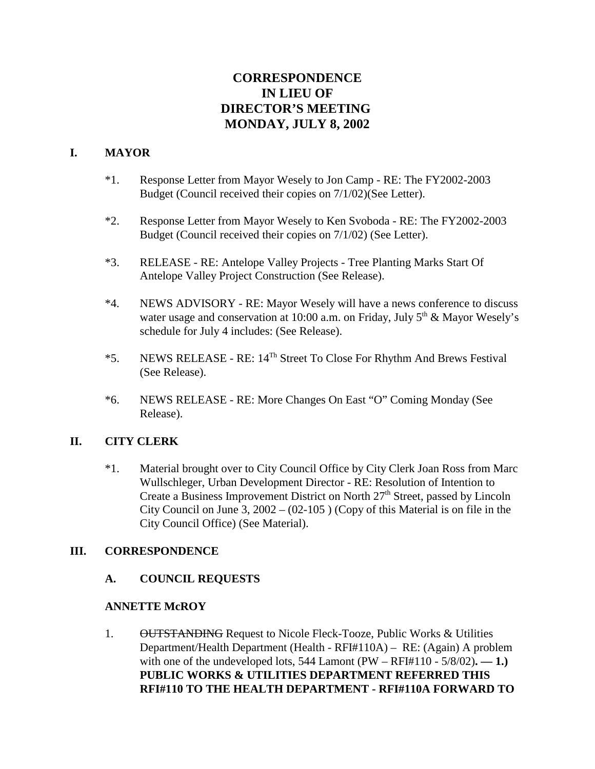# **CORRESPONDENCE IN LIEU OF DIRECTOR'S MEETING MONDAY, JULY 8, 2002**

### **I. MAYOR**

- \*1. Response Letter from Mayor Wesely to Jon Camp RE: The FY2002-2003 Budget (Council received their copies on 7/1/02)(See Letter).
- \*2. Response Letter from Mayor Wesely to Ken Svoboda RE: The FY2002-2003 Budget (Council received their copies on 7/1/02) (See Letter).
- \*3. RELEASE RE: Antelope Valley Projects Tree Planting Marks Start Of Antelope Valley Project Construction (See Release).
- \*4. NEWS ADVISORY RE: Mayor Wesely will have a news conference to discuss water usage and conservation at 10:00 a.m. on Friday, July  $5<sup>th</sup>$  & Mayor Wesely's schedule for July 4 includes: (See Release).
- \*5. NEWS RELEASE RE:  $14^{Th}$  Street To Close For Rhythm And Brews Festival (See Release).
- \*6. NEWS RELEASE RE: More Changes On East "O" Coming Monday (See Release).

### **II. CITY CLERK**

\*1. Material brought over to City Council Office by City Clerk Joan Ross from Marc Wullschleger, Urban Development Director - RE: Resolution of Intention to Create a Business Improvement District on North  $27<sup>th</sup>$  Street, passed by Lincoln City Council on June 3,  $2002 - (02-105)$  (Copy of this Material is on file in the City Council Office) (See Material).

### **III. CORRESPONDENCE**

### **A. COUNCIL REQUESTS**

### **ANNETTE McROY**

1. OUTSTANDING Request to Nicole Fleck-Tooze, Public Works & Utilities Department/Health Department (Health - RFI#110A) – RE: (Again) A problem with one of the undeveloped lots,  $544$  Lamont (PW – RFI#110 -  $5/8/02$ ). — 1.) **PUBLIC WORKS & UTILITIES DEPARTMENT REFERRED THIS RFI#110 TO THE HEALTH DEPARTMENT - RFI#110A FORWARD TO**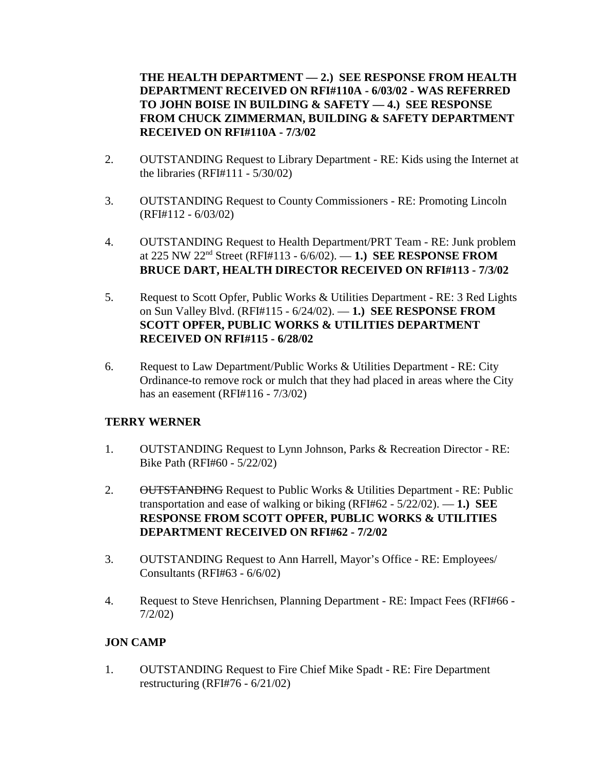**THE HEALTH DEPARTMENT — 2.) SEE RESPONSE FROM HEALTH DEPARTMENT RECEIVED ON RFI#110A - 6/03/02 - WAS REFERRED TO JOHN BOISE IN BUILDING & SAFETY — 4.) SEE RESPONSE FROM CHUCK ZIMMERMAN, BUILDING & SAFETY DEPARTMENT RECEIVED ON RFI#110A - 7/3/02** 

- 2. OUTSTANDING Request to Library Department RE: Kids using the Internet at the libraries (RFI#111 - 5/30/02)
- 3. OUTSTANDING Request to County Commissioners RE: Promoting Lincoln (RFI#112 - 6/03/02)
- 4. OUTSTANDING Request to Health Department/PRT Team RE: Junk problem at 225 NW 22nd Street (RFI#113 - 6/6/02). — **1.) SEE RESPONSE FROM BRUCE DART, HEALTH DIRECTOR RECEIVED ON RFI#113 - 7/3/02**
- 5. Request to Scott Opfer, Public Works & Utilities Department RE: 3 Red Lights on Sun Valley Blvd. (RFI#115 - 6/24/02). — **1.) SEE RESPONSE FROM SCOTT OPFER, PUBLIC WORKS & UTILITIES DEPARTMENT RECEIVED ON RFI#115 - 6/28/02**
- 6. Request to Law Department/Public Works & Utilities Department RE: City Ordinance-to remove rock or mulch that they had placed in areas where the City has an easement (RFI#116 - 7/3/02)

### **TERRY WERNER**

- 1. OUTSTANDING Request to Lynn Johnson, Parks & Recreation Director RE: Bike Path (RFI#60 - 5/22/02)
- 2. OUTSTANDING Request to Public Works & Utilities Department RE: Public transportation and ease of walking or biking (RFI#62 - 5/22/02). — **1.) SEE RESPONSE FROM SCOTT OPFER, PUBLIC WORKS & UTILITIES DEPARTMENT RECEIVED ON RFI#62 - 7/2/02**
- 3. OUTSTANDING Request to Ann Harrell, Mayor's Office RE: Employees/ Consultants (RFI#63 - 6/6/02)
- 4. Request to Steve Henrichsen, Planning Department RE: Impact Fees (RFI#66 7/2/02)

# **JON CAMP**

1. OUTSTANDING Request to Fire Chief Mike Spadt - RE: Fire Department restructuring (RFI#76 - 6/21/02)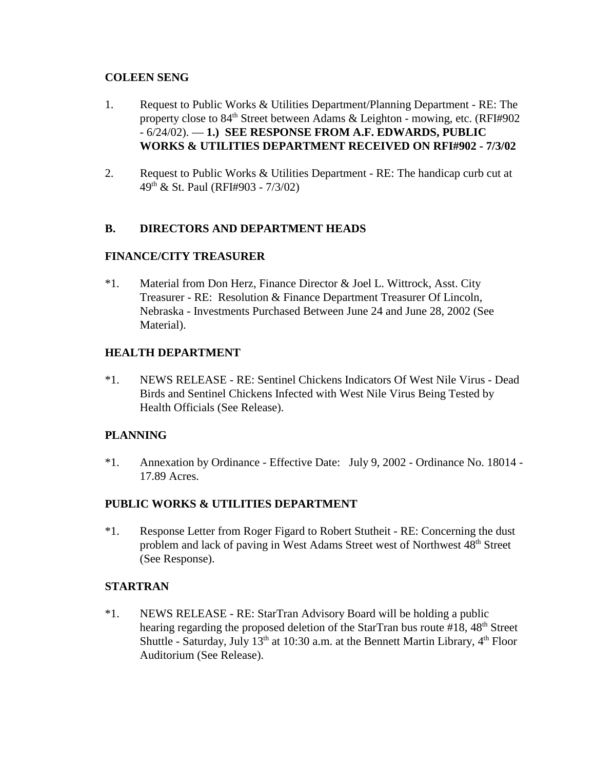### **COLEEN SENG**

- 1. Request to Public Works & Utilities Department/Planning Department RE: The property close to 84<sup>th</sup> Street between Adams & Leighton - mowing, etc. (RFI#902) - 6/24/02). — **1.) SEE RESPONSE FROM A.F. EDWARDS, PUBLIC WORKS & UTILITIES DEPARTMENT RECEIVED ON RFI#902 - 7/3/02**
- 2. Request to Public Works & Utilities Department RE: The handicap curb cut at 49th & St. Paul (RFI#903 - 7/3/02)

## **B. DIRECTORS AND DEPARTMENT HEADS**

## **FINANCE/CITY TREASURER**

\*1. Material from Don Herz, Finance Director & Joel L. Wittrock, Asst. City Treasurer - RE: Resolution & Finance Department Treasurer Of Lincoln, Nebraska - Investments Purchased Between June 24 and June 28, 2002 (See Material).

## **HEALTH DEPARTMENT**

\*1. NEWS RELEASE - RE: Sentinel Chickens Indicators Of West Nile Virus - Dead Birds and Sentinel Chickens Infected with West Nile Virus Being Tested by Health Officials (See Release).

### **PLANNING**

\*1. Annexation by Ordinance - Effective Date: July 9, 2002 - Ordinance No. 18014 - 17.89 Acres.

### **PUBLIC WORKS & UTILITIES DEPARTMENT**

\*1. Response Letter from Roger Figard to Robert Stutheit - RE: Concerning the dust problem and lack of paving in West Adams Street west of Northwest 48<sup>th</sup> Street (See Response).

### **STARTRAN**

\*1. NEWS RELEASE - RE: StarTran Advisory Board will be holding a public hearing regarding the proposed deletion of the StarTran bus route  $#18$ ,  $48<sup>th</sup>$  Street Shuttle - Saturday, July  $13<sup>th</sup>$  at 10:30 a.m. at the Bennett Martin Library,  $4<sup>th</sup>$  Floor Auditorium (See Release).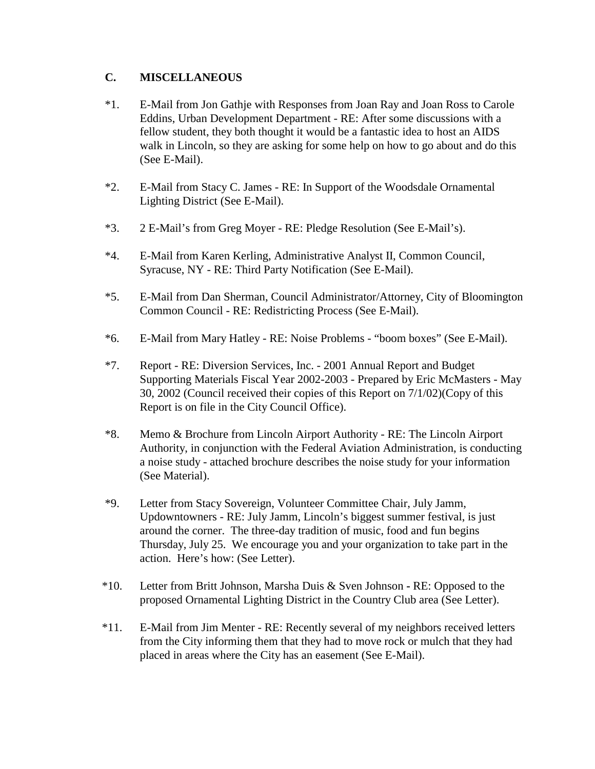### **C. MISCELLANEOUS**

- \*1. E-Mail from Jon Gathje with Responses from Joan Ray and Joan Ross to Carole Eddins, Urban Development Department - RE: After some discussions with a fellow student, they both thought it would be a fantastic idea to host an AIDS walk in Lincoln, so they are asking for some help on how to go about and do this (See E-Mail).
- \*2. E-Mail from Stacy C. James RE: In Support of the Woodsdale Ornamental Lighting District (See E-Mail).
- \*3. 2 E-Mail's from Greg Moyer RE: Pledge Resolution (See E-Mail's).
- \*4. E-Mail from Karen Kerling, Administrative Analyst II, Common Council, Syracuse, NY - RE: Third Party Notification (See E-Mail).
- \*5. E-Mail from Dan Sherman, Council Administrator/Attorney, City of Bloomington Common Council - RE: Redistricting Process (See E-Mail).
- \*6. E-Mail from Mary Hatley RE: Noise Problems "boom boxes" (See E-Mail).
- \*7. Report RE: Diversion Services, Inc. 2001 Annual Report and Budget Supporting Materials Fiscal Year 2002-2003 - Prepared by Eric McMasters - May 30, 2002 (Council received their copies of this Report on 7/1/02)(Copy of this Report is on file in the City Council Office).
- \*8. Memo & Brochure from Lincoln Airport Authority RE: The Lincoln Airport Authority, in conjunction with the Federal Aviation Administration, is conducting a noise study - attached brochure describes the noise study for your information (See Material).
- \*9. Letter from Stacy Sovereign, Volunteer Committee Chair, July Jamm, Updowntowners - RE: July Jamm, Lincoln's biggest summer festival, is just around the corner. The three-day tradition of music, food and fun begins Thursday, July 25. We encourage you and your organization to take part in the action. Here's how: (See Letter).
- \*10. Letter from Britt Johnson, Marsha Duis & Sven JohnsonRE: Opposed to the proposed Ornamental Lighting District in the Country Club area (See Letter).
- \*11. E-Mail from Jim Menter RE: Recently several of my neighbors received letters from the City informing them that they had to move rock or mulch that they had placed in areas where the City has an easement (See E-Mail).